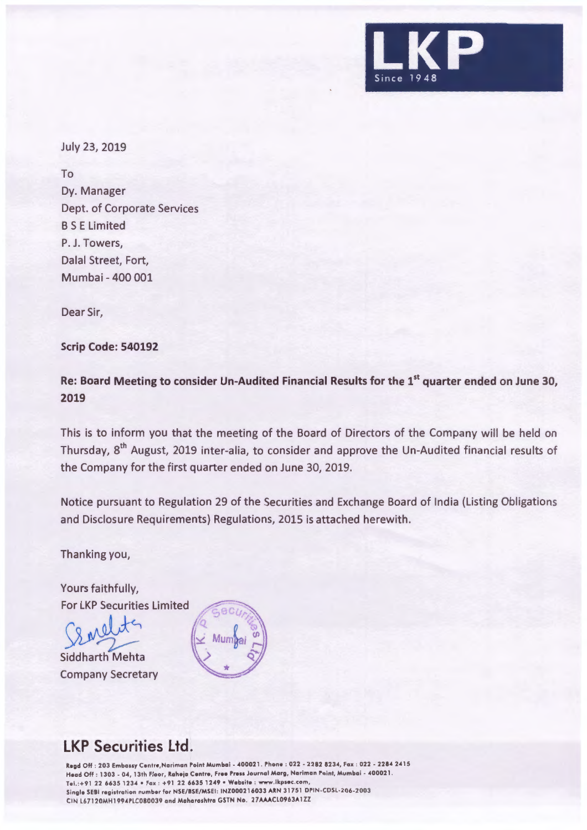

July 23, 2019

To Dy. Manager Dept. of Corporate Services BS E Limited P. J. Towers, Dalal Street, Fort, Mumbai - 400 001

Dear Sir,

## **Scrip Code: 540192**

**Re: Board Meeting to consider Un-Audited Financial Results for the 1st quarter ended on June 30, 2019** 

This is to inform you that the meeting of the Board of Directors of the Company will be held on Thursday, 8th August, 2019 inter-alia, to consider and approve the Un-Audited financial results of the Company for the first quarter ended on June 30, 2019.

Notice pursuant to Regulation 29 of the Securities and Exchange Board of India (Listing Obligations and Disclosure Requirements) Regulations, 2015 is attached herewith.

Thanking you,

Yours faithfully, For LKP Securities Limited

For LKP Securities Limited

**Siddharth Mehta** Company Secretary



## **LKP Securities Ltd.**

**Regd** Off : 203 Embassy Cen tre ,Nariman Point Mumbai - 400021 . Phone : 022 - 2282 8234, Fax : 022 - 2284 2415 Head Off : 1303 - 04, 13th Floor, Raheja Centre, Free Press Journal Marg, Nariman Point, Mumbai - 400021. Tel.:+91 22 6635 1234 • Fax : +91 22 6635 1249 • Website : www.lkpsec.com, Single SEBI registration number for NSE/BSE/MSEI: INZ000216033 ARN 31751 DPIN-CDSL-206-2003 CIN L67120MH1994PLC080039 and Maharashtra GSTN No. 27AAACL0963A1ZZ